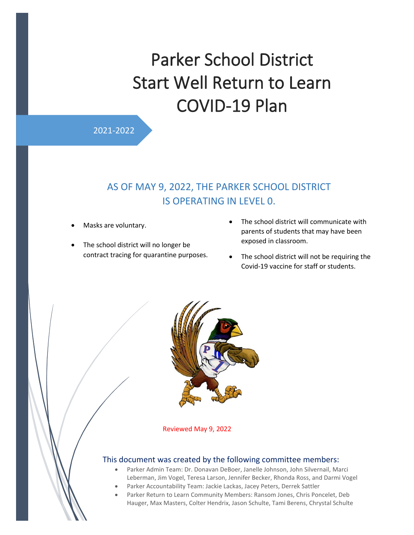# Parker School District Start Well Return to Learn COVID-19 Plan

2021-2022

# AS OF MAY 9, 2022, THE PARKER SCHOOL DISTRICT IS OPERATING IN LEVEL 0.

- Masks are voluntary.
- The school district will no longer be contract tracing for quarantine purposes.
- The school district will communicate with parents of students that may have been exposed in classroom.
- The school district will not be requiring the Covid-19 vaccine for staff or students.



Reviewed May 9, 2022

#### This document was created by the following committee members:

- Parker Admin Team: Dr. Donavan DeBoer, Janelle Johnson, John Silvernail, Marci Leberman, Jim Vogel, Teresa Larson, Jennifer Becker, Rhonda Ross, and Darmi Vogel
- Parker Accountability Team: Jackie Lackas, Jacey Peters, Derrek Sattler
- Parker Return to Learn Community Members: Ransom Jones, Chris Poncelet, Deb Hauger, Max Masters, Colter Hendrix, Jason Schulte, Tami Berens, Chrystal Schulte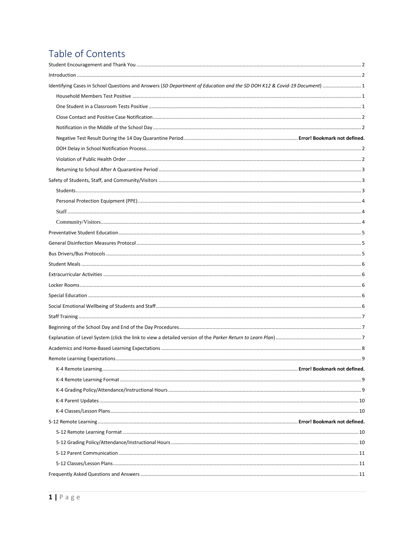# Table of Contents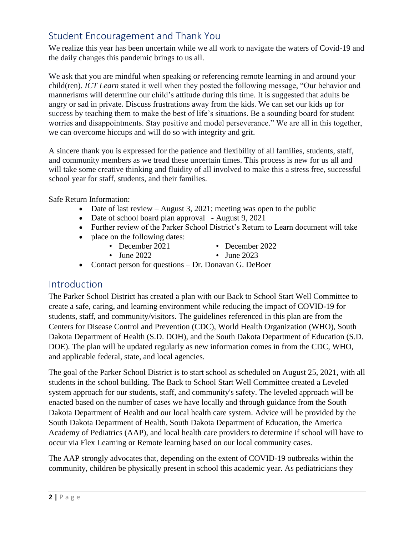## <span id="page-2-0"></span>Student Encouragement and Thank You

We realize this year has been uncertain while we all work to navigate the waters of Covid-19 and the daily changes this pandemic brings to us all.

We ask that you are mindful when speaking or referencing remote learning in and around your child(ren). *ICT Learn* stated it well when they posted the following message, "Our behavior and mannerisms will determine our child's attitude during this time. It is suggested that adults be angry or sad in private. Discuss frustrations away from the kids. We can set our kids up for success by teaching them to make the best of life's situations. Be a sounding board for student worries and disappointments. Stay positive and model perseverance." We are all in this together, we can overcome hiccups and will do so with integrity and grit.

A sincere thank you is expressed for the patience and flexibility of all families, students, staff, and community members as we tread these uncertain times. This process is new for us all and will take some creative thinking and fluidity of all involved to make this a stress free, successful school year for staff, students, and their families.

Safe Return Information:

- Date of last review August 3, 2021; meeting was open to the public
- Date of school board plan approval August 9, 2021
- Further review of the Parker School District's Return to Learn document will take
- place on the following dates:
	- December 2021
- <span id="page-2-1"></span>• December 2022
- June 2022
- June 2023
- Contact person for questions Dr. Donavan G. DeBoer

### Introduction

The Parker School District has created a plan with our Back to School Start Well Committee to create a safe, caring, and learning environment while reducing the impact of COVID-19 for students, staff, and community/visitors. The guidelines referenced in this plan are from the Centers for Disease Control and Prevention (CDC), World Health Organization (WHO), South Dakota Department of Health (S.D. DOH), and the South Dakota Department of Education (S.D. DOE). The plan will be updated regularly as new information comes in from the CDC, WHO, and applicable federal, state, and local agencies.

The goal of the Parker School District is to start school as scheduled on August 25, 2021, with all students in the school building. The Back to School Start Well Committee created a Leveled system approach for our students, staff, and community's safety. The leveled approach will be enacted based on the number of cases we have locally and through guidance from the South Dakota Department of Health and our local health care system. Advice will be provided by the South Dakota Department of Health, South Dakota Department of Education, the America Academy of Pediatrics (AAP), and local health care providers to determine if school will have to occur via Flex Learning or Remote learning based on our local community cases.

The AAP strongly advocates that, depending on the extent of COVID-19 outbreaks within the community, children be physically present in school this academic year. As pediatricians they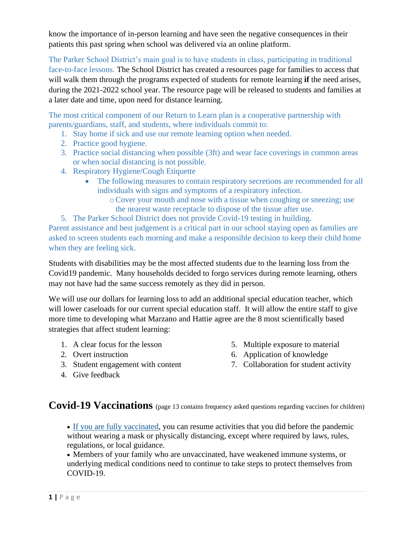know the importance of in-person learning and have seen the negative consequences in their patients this past spring when school was delivered via an online platform.

The Parker School District's main goal is to have students in class, participating in traditional face-to-face lessons. The School District has created a resources page for families to access that will walk them through the programs expected of students for remote learning **if** the need arises, during the 2021-2022 school year. The resource page will be released to students and families at a later date and time, upon need for distance learning.

The most critical component of our Return to Learn plan is a cooperative partnership with parents/guardians, staff, and students, where individuals commit to:

- 1. Stay home if sick and use our remote learning option when needed.
- 2. Practice good hygiene.
- 3. Practice social distancing when possible (3ft) and wear face coverings in common areas or when social distancing is not possible.
- 4. Respiratory Hygiene/Cough Etiquette
	- The following measures to contain respiratory secretions are recommended for all individuals with signs and symptoms of a respiratory infection.
		- oCover your mouth and nose with a tissue when coughing or sneezing; use the nearest waste receptacle to dispose of the tissue after use.
- 5. The Parker School District does not provide Covid-19 testing in building.

Parent assistance and best judgement is a critical part in our school staying open as families are asked to screen students each morning and make a responsible decision to keep their child home when they are feeling sick.

Students with disabilities may be the most affected students due to the learning loss from the Covid19 pandemic. Many households decided to forgo services during remote learning, others may not have had the same success remotely as they did in person.

We will use our dollars for learning loss to add an additional special education teacher, which will lower caseloads for our current special education staff. It will allow the entire staff to give more time to developing what Marzano and Hattie agree are the 8 most scientifically based strategies that affect student learning:

- 1. A clear focus for the lesson
- 2. Overt instruction
- 3. Student engagement with content
- 4. Give feedback
- 5. Multiple exposure to material
- 6. Application of knowledge
- 7. Collaboration for student activity
- **Covid-19 Vaccinations** (page 13 contains frequency asked questions regarding vaccines for children)

• If you are [fully vaccinated,](https://www.cdc.gov/coronavirus/2019-ncov/vaccines/fully-vaccinated.html#vaccinated) you can resume activities that you did before the pandemic without wearing a mask or physically distancing, except where required by laws, rules, regulations, or local guidance.

• Members of your family who are unvaccinated, have weakened immune systems, or underlying medical conditions need to continue to take steps to protect themselves from COVID-19.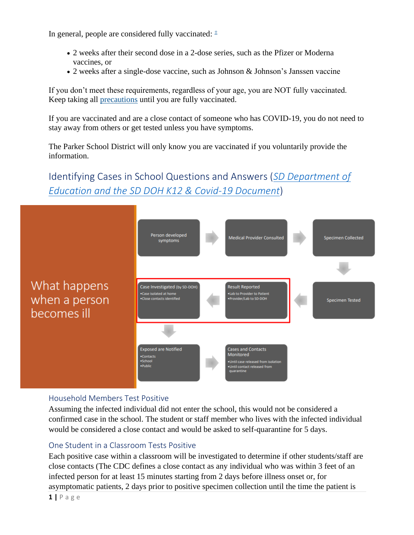In general, people are considered fully vaccinated:  $\pm$ 

- 2 weeks after their second dose in a 2-dose series, such as the Pfizer or Moderna vaccines, or
- 2 weeks after a single-dose vaccine, such as Johnson & Johnson's Janssen vaccine

If you don't meet these requirements, regardless of your age, you are NOT fully vaccinated. Keep taking all [precautions](https://www.cdc.gov/coronavirus/2019-ncov/prevent-getting-sick/prevention.html) until you are fully vaccinated.

If you are vaccinated and are a close contact of someone who has COVID-19, you do not need to stay away from others or get tested unless you have symptoms.

The Parker School District will only know you are vaccinated if you voluntarily provide the information.

<span id="page-4-0"></span>Identifying Cases in School Questions and Answers (*[SD Department of](file://///pheasant/staffdata$/johnsonj/documents/Janelle/Covid%20Files/COVID%20-19%20K12%20Back%20to%20school%20FAQs.pdf)  [Education and the SD DOH K12 & Covid-19 Document](file://///pheasant/staffdata$/johnsonj/documents/Janelle/Covid%20Files/COVID%20-19%20K12%20Back%20to%20school%20FAQs.pdf)*)



#### <span id="page-4-1"></span>Household Members Test Positive

Assuming the infected individual did not enter the school, this would not be considered a confirmed case in the school. The student or staff member who lives with the infected individual would be considered a close contact and would be asked to self-quarantine for 5 days.

#### <span id="page-4-2"></span>One Student in a Classroom Tests Positive

Each positive case within a classroom will be investigated to determine if other students/staff are close contacts (The CDC defines a close contact as any individual who was within 3 feet of an infected person for at least 15 minutes starting from 2 days before illness onset or, for asymptomatic patients, 2 days prior to positive specimen collection until the time the patient is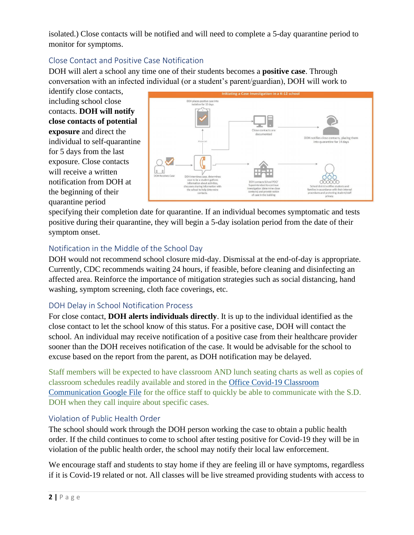isolated.) Close contacts will be notified and will need to complete a 5-day quarantine period to monitor for symptoms.

#### <span id="page-5-0"></span>Close Contact and Positive Case Notification

DOH will alert a school any time one of their students becomes a **positive case**. Through conversation with an infected individual (or a student's parent/guardian), DOH will work to

identify close contacts, including school close contacts. **DOH will notify close contacts of potential exposure** and direct the individual to self-quarantine for 5 days from the last exposure. Close contacts will receive a written notification from DOH at the beginning of their quarantine period



specifying their completion date for quarantine. If an individual becomes symptomatic and tests positive during their quarantine, they will begin a 5-day isolation period from the date of their symptom onset.

#### <span id="page-5-1"></span>Notification in the Middle of the School Day

DOH would not recommend school closure mid-day. Dismissal at the end-of-day is appropriate. Currently, CDC recommends waiting 24 hours, if feasible, before cleaning and disinfecting an affected area. Reinforce the importance of mitigation strategies such as social distancing, hand washing, symptom screening, cloth face coverings, etc.

#### <span id="page-5-2"></span>DOH Delay in School Notification Process

For close contact, **DOH alerts individuals directly**. It is up to the individual identified as the close contact to let the school know of this status. For a positive case, DOH will contact the school. An individual may receive notification of a positive case from their healthcare provider sooner than the DOH receives notification of the case. It would be advisable for the school to excuse based on the report from the parent, as DOH notification may be delayed.

Staff members will be expected to have classroom AND lunch seating charts as well as copies of classroom schedules readily available and stored in the [Office Covid-19 Classroom](https://drive.google.com/drive/folders/1N_X7Iij-HaK4nOYq79StGx8v_2YjZBcx?usp=sharing)  [Communication Google File](https://drive.google.com/drive/folders/1N_X7Iij-HaK4nOYq79StGx8v_2YjZBcx?usp=sharing) for the office staff to quickly be able to communicate with the S.D. DOH when they call inquire about specific cases.

#### <span id="page-5-3"></span>Violation of Public Health Order

The school should work through the DOH person working the case to obtain a public health order. If the child continues to come to school after testing positive for Covid-19 they will be in violation of the public health order, the school may notify their local law enforcement.

We encourage staff and students to stay home if they are feeling ill or have symptoms, regardless if it is Covid-19 related or not. All classes will be live streamed providing students with access to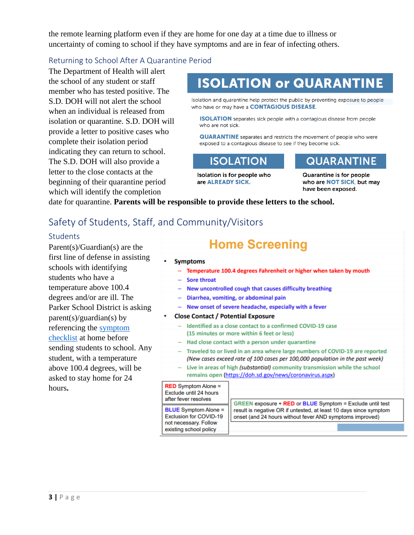the remote learning platform even if they are home for one day at a time due to illness or uncertainty of coming to school if they have symptoms and are in fear of infecting others.

#### <span id="page-6-0"></span>Returning to School After A Quarantine Period

The Department of Health will alert the school of any student or staff member who has tested positive. The S.D. DOH will not alert the school when an individual is released from isolation or quarantine. S.D. DOH will provide a letter to positive cases who complete their isolation period indicating they can return to school. The S.D. DOH will also provide a letter to the close contacts at the beginning of their quarantine period which will identify the completion

# **ISOLATION or QUARANTINE**

Isolation and quarantine help protect the public by preventing exposure to people who have or may have a **CONTAGIOUS DISEASE**.

**ISOLATION** separates sick people with a contagious disease from people who are not sick.

**QUARANTINE** separates and restricts the movement of people who were exposed to a contagious disease to see if they become sick.

## **ISOLATION**

Isolation is for people who are ALREADY SICK.

# **QUARANTINE**

**Quarantine is for people** who are NOT SICK, but may have been exposed.

date for quarantine. **Parents will be responsible to provide these letters to the school.**

## <span id="page-6-1"></span>Safety of Students, Staff, and Community/Visitors

#### <span id="page-6-2"></span>Students

Parent(s)/Guardian(s) are the first line of defense in assisting schools with identifying students who have a temperature above 100.4 degrees and/or are ill. The Parker School District is asking  $parent(s)/quantian(s)$  by referencing the [symptom](https://docs.google.com/document/d/1vqqgRCmd2jLZ5nEsg0QNd2cpu0ewYX0IMHFz08NFn7o/edit?usp=sharing)  [checklist](https://docs.google.com/document/d/1vqqgRCmd2jLZ5nEsg0QNd2cpu0ewYX0IMHFz08NFn7o/edit?usp=sharing) at home before sending students to school. Any student, with a temperature above 100.4 degrees, will be asked to stay home for 24 hours**.**

# **Home Screening**

#### **Symptoms**

- Temperature 100.4 degrees Fahrenheit or higher when taken by mouth
- Sore throat
- New uncontrolled cough that causes difficulty breathing
- Diarrhea, vomiting, or abdominal pain
- New onset of severe headache, especially with a fever
- **Close Contact / Potential Exposure** 
	- Identified as a close contact to a confirmed COVID-19 case (15 minutes or more within 6 feet or less)
	- Had close contact with a person under quarantine
	- Traveled to or lived in an area where large numbers of COVID-19 are reported (New cases exceed rate of 100 cases per 100,000 population in the past week)
	- Live in areas of high (substantial) community transmission while the school remains open (https://doh.sd.gov/news/coronavirus.aspx)

**RED** Symptom Alone = Exclude until 24 hours after fever resolves GREEN exposure + RED or BLUE Symptom = Exclude until test **BLUE Symptom Alone =** result is negative OR if untested, at least 10 days since symptom **Exclusion for COVID-19** onset (and 24 hours without fever AND symptoms improved) not necessary. Follow existing school policy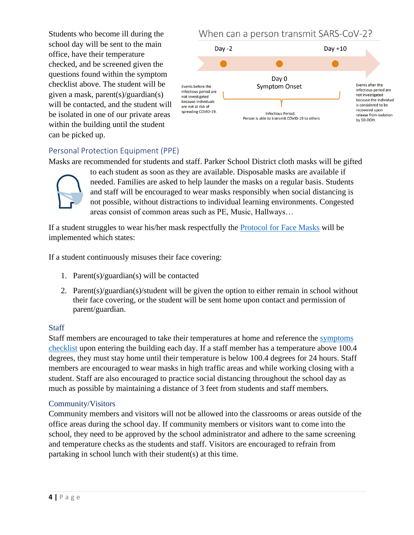Students who become ill during the school day will be sent to the main office, have their temperature checked, and be screened given the questions found within the symptom checklist above. The student will be given a mask, parent(s)/guardian(s) will be contacted, and the student will be isolated in one of our private areas within the building until the student can be picked up.

## When can a person transmit SARS-CoV-2?



#### <span id="page-7-0"></span>Personal Protection Equipment (PPE)

Masks are recommended for students and staff. Parker School District cloth masks will be gifted



to each student as soon as they are available. Disposable masks are available if needed. Families are asked to help launder the masks on a regular basis. Students and staff will be encouraged to wear masks responsibly when social distancing is not possible, without distractions to individual learning environments. Congested areas consist of common areas such as PE, Music, Hallways…

If a student struggles to wear his/her mask respectfully the [Protocol for Face Masks](https://docs.google.com/document/d/1dFQ-qxSc_de4FDNeaMye0jgskAB3FDdJascLyiyMLv4/edit?usp=sharing) will be implemented which states:

If a student continuously misuses their face covering:

- 1. Parent(s)/guardian(s) will be contacted
- 2. Parent(s)/guardian(s)/student will be given the option to either remain in school without their face covering, or the student will be sent home upon contact and permission of parent/guardian.

#### <span id="page-7-1"></span>**Staff**

Staff members are encouraged to take their temperatures at home and reference the [symptoms](https://docs.google.com/document/d/1vqqgRCmd2jLZ5nEsg0QNd2cpu0ewYX0IMHFz08NFn7o/edit?usp=sharing)  [checklist](https://docs.google.com/document/d/1vqqgRCmd2jLZ5nEsg0QNd2cpu0ewYX0IMHFz08NFn7o/edit?usp=sharing) upon entering the building each day. If a staff member has a temperature above 100.4 degrees, they must stay home until their temperature is below 100.4 degrees for 24 hours. Staff members are encouraged to wear masks in high traffic areas and while working closing with a student. Staff are also encouraged to practice social distancing throughout the school day as much as possible by maintaining a distance of 3 feet from students and staff members.

#### <span id="page-7-2"></span>Community/Visitors

Community members and visitors will not be allowed into the classrooms or areas outside of the office areas during the school day. If community members or visitors want to come into the school, they need to be approved by the school administrator and adhere to the same screening and temperature checks as the students and staff. Visitors are encouraged to refrain from partaking in school lunch with their student(s) at this time.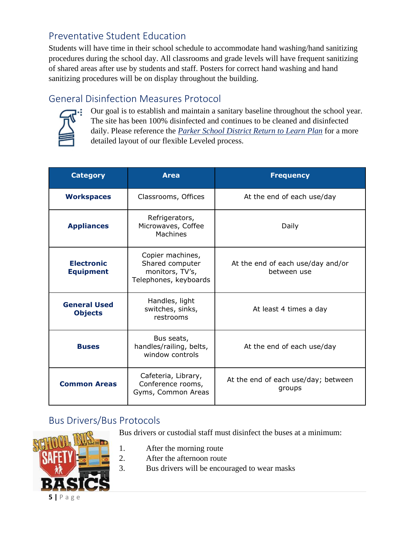## <span id="page-8-0"></span>Preventative Student Education

Students will have time in their school schedule to accommodate hand washing/hand sanitizing procedures during the school day. All classrooms and grade levels will have frequent sanitizing of shared areas after use by students and staff. Posters for correct hand washing and hand sanitizing procedures will be on display throughout the building.

## <span id="page-8-1"></span>General Disinfection Measures Protocol



Our goal is to establish and maintain a sanitary baseline throughout the school year. The site has been 100% disinfected and continues to be cleaned and disinfected daily. Please reference the *[Parker School District Return to Learn Plan](https://docs.google.com/spreadsheets/d/1tGIIlT2vQtK-_n7GsEbiOYJDbwbNjv5YsCgfCokmZ5Y/edit#gid=773393178)* for a more detailed layout of our flexible Leveled process.

| <b>Category</b>                       | <b>Area</b>                                                                     | <b>Frequency</b>                                 |
|---------------------------------------|---------------------------------------------------------------------------------|--------------------------------------------------|
| <b>Workspaces</b>                     | Classrooms, Offices                                                             | At the end of each use/day                       |
| <b>Appliances</b>                     | Refrigerators,<br>Microwaves, Coffee<br>Machines                                | Daily                                            |
| <b>Electronic</b><br><b>Equipment</b> | Copier machines,<br>Shared computer<br>monitors, TV's,<br>Telephones, keyboards | At the end of each use/day and/or<br>between use |
| <b>General Used</b><br><b>Objects</b> | Handles, light<br>switches, sinks,<br>restrooms                                 | At least 4 times a day                           |
| <b>Buses</b>                          | Bus seats,<br>handles/railing, belts,<br>window controls                        | At the end of each use/day                       |
| <b>Common Areas</b>                   | Cafeteria, Library,<br>Conference rooms,<br>Gyms, Common Areas                  | At the end of each use/day; between<br>groups    |

## <span id="page-8-2"></span>Bus Drivers/Bus Protocols



Bus drivers or custodial staff must disinfect the buses at a minimum:

- 1. After the morning route
- 2. After the afternoon route
- 3. Bus drivers will be encouraged to wear masks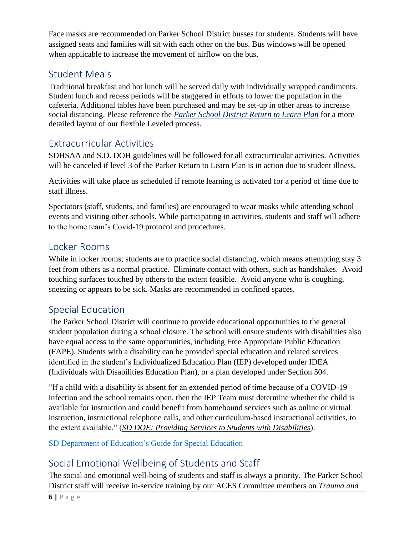Face masks are recommended on Parker School District busses for students. Students will have assigned seats and families will sit with each other on the bus. Bus windows will be opened when applicable to increase the movement of airflow on the bus.

## <span id="page-9-0"></span>Student Meals

Traditional breakfast and hot lunch will be served daily with individually wrapped condiments. Student lunch and recess periods will be staggered in efforts to lower the population in the cafeteria. Additional tables have been purchased and may be set-up in other areas to increase social distancing. Please reference the *[Parker School District Return to Learn Plan](https://docs.google.com/spreadsheets/d/1tGIIlT2vQtK-_n7GsEbiOYJDbwbNjv5YsCgfCokmZ5Y/edit#gid=773393178)* for a more detailed layout of our flexible Leveled process.

## <span id="page-9-1"></span>Extracurricular Activities

SDHSAA and S.D. DOH guidelines will be followed for all extracurricular activities. Activities will be canceled if level 3 of the Parker Return to Learn Plan is in action due to student illness.

Activities will take place as scheduled if remote learning is activated for a period of time due to staff illness.

Spectators (staff, students, and families) are encouraged to wear masks while attending school events and visiting other schools. While participating in activities, students and staff will adhere to the home team's Covid-19 protocol and procedures.

## <span id="page-9-2"></span>Locker Rooms

While in locker rooms, students are to practice social distancing, which means attempting stay 3 feet from others as a normal practice. Eliminate contact with others, such as handshakes. Avoid touching surfaces touched by others to the extent feasible. Avoid anyone who is coughing, sneezing or appears to be sick. Masks are recommended in confined spaces.

## <span id="page-9-3"></span>Special Education

The Parker School District will continue to provide educational opportunities to the general student population during a school closure. The school will ensure students with disabilities also have equal access to the same opportunities, including Free Appropriate Public Education (FAPE). Students with a disability can be provided special education and related services identified in the student's Individualized Education Plan (IEP) developed under IDEA (Individuals with Disabilities Education Plan), or a plan developed under Section 504.

"If a child with a disability is absent for an extended period of time because of a COVID-19 infection and the school remains open, then the IEP Team must determine whether the child is available for instruction and could benefit from homebound services such as online or virtual instruction, instructional telephone calls, and other curriculum-based instructional activities, to the extent available." (*[SD DOE; Providing Services to Students with Disabilities](https://www2.ed.gov/policy/speced/guid/idea/memosdcltrs/qa-covid-19-03-12-2020.pdf)*).

[SD Department of Education's Guide for Special Education](https://doe.sd.gov/coronavirus/documents/SPED-Guidance-072920.pdf)

## <span id="page-9-4"></span>Social Emotional Wellbeing of Students and Staff

The social and emotional well-being of students and staff is always a priority. The Parker School District staff will receive in-service training by our ACES Committee members on *Trauma and*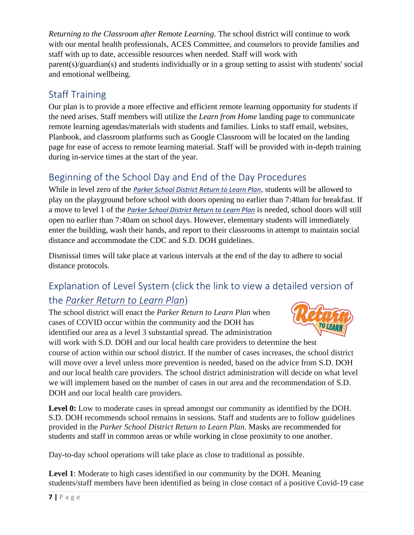*Returning to the Classroom after Remote Learning*. The school district will continue to work with our mental health professionals, ACES Committee, and counselors to provide families and staff with up to date, accessible resources when needed. Staff will work with parent(s)/guardian(s) and students individually or in a group setting to assist with students' social and emotional wellbeing.

## <span id="page-10-0"></span>Staff Training

Our plan is to provide a more effective and efficient remote learning opportunity for students if the need arises. Staff members will utilize the *Learn from Home* landing page to communicate remote learning agendas/materials with students and families. Links to staff email, websites, Planbook, and classroom platforms such as Google Classroom will be located on the landing page for ease of access to remote learning material. Staff will be provided with in-depth training during in-service times at the start of the year.

## <span id="page-10-1"></span>Beginning of the School Day and End of the Day Procedures

While in level zero of the *[Parker School District Return to Learn Plan](https://docs.google.com/spreadsheets/d/1tGIIlT2vQtK-_n7GsEbiOYJDbwbNjv5YsCgfCokmZ5Y/edit#gid=773393178)*, students will be allowed to play on the playground before school with doors opening no earlier than 7:40am for breakfast. If a move to level 1 of the *[Parker School District Return to Learn Plan](https://docs.google.com/spreadsheets/d/1tGIIlT2vQtK-_n7GsEbiOYJDbwbNjv5YsCgfCokmZ5Y/edit#gid=773393178)* is needed, school doors will still open no earlier than 7:40am on school days. However, elementary students will immediately enter the building, wash their hands, and report to their classrooms in attempt to maintain social distance and accommodate the CDC and S.D. DOH guidelines.

Dismissal times will take place at various intervals at the end of the day to adhere to social distance protocols.

# <span id="page-10-2"></span>Explanation of Level System (click the link to view a detailed version of the *[Parker Return to Learn Plan](https://docs.google.com/spreadsheets/d/1tGIIlT2vQtK-_n7GsEbiOYJDbwbNjv5YsCgfCokmZ5Y/edit?usp=sharing)*)

The school district will enact the *Parker Return to Learn Plan* when cases of COVID occur within the community and the DOH has identified our area as a level 3 substantial spread. The administration



will work with S.D. DOH and our local health care providers to determine the best course of action within our school district. If the number of cases increases, the school district will move over a level unless more prevention is needed, based on the advice from S.D. DOH and our local health care providers. The school district administration will decide on what level we will implement based on the number of cases in our area and the recommendation of S.D. DOH and our local health care providers.

Level 0: Low to moderate cases in spread amongst our community as identified by the DOH. S.D. DOH recommends school remains in sessions. Staff and students are to follow guidelines provided in the *Parker School District Return to Learn Plan.* Masks are recommended for students and staff in common areas or while working in close proximity to one another.

Day-to-day school operations will take place as close to traditional as possible.

**Level 1**: Moderate to high cases identified in our community by the DOH. Meaning students/staff members have been identified as being in close contact of a positive Covid-19 case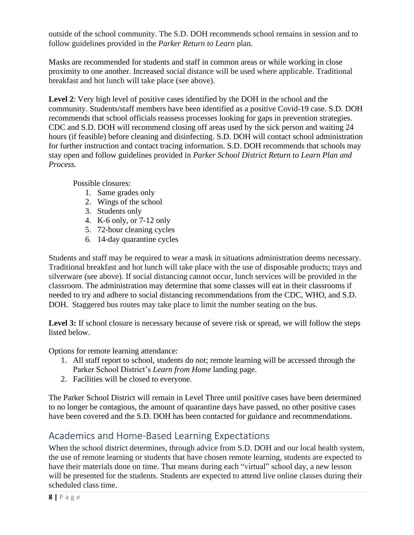outside of the school community. The S.D. DOH recommends school remains in session and to follow guidelines provided in the *Parker Return to Learn* plan.

Masks are recommended for students and staff in common areas or while working in close proximity to one another. Increased social distance will be used where applicable. Traditional breakfast and hot lunch will take place (see above).

**Level 2**: Very high level of positive cases identified by the DOH in the school and the community. Students/staff members have been identified as a positive Covid-19 case. S.D. DOH recommends that school officials reassess processes looking for gaps in prevention strategies. CDC and S.D. DOH will recommend closing off areas used by the sick person and waiting 24 hours (if feasible) before cleaning and disinfecting. S.D. DOH will contact school administration for further instruction and contact tracing information. S.D. DOH recommends that schools may stay open and follow guidelines provided in *Parker School District Return to Learn Plan and Process.*

Possible closures:

- 1. Same grades only
- 2. Wings of the school
- 3. Students only
- 4. K-6 only, or 7-12 only
- 5. 72-hour cleaning cycles
- 6. 14-day quarantine cycles

Students and staff may be required to wear a mask in situations administration deems necessary. Traditional breakfast and hot lunch will take place with the use of disposable products; trays and silverware (see above). If social distancing cannot occur, lunch services will be provided in the classroom. The administration may determine that some classes will eat in their classrooms if needed to try and adhere to social distancing recommendations from the CDC, WHO, and S.D. DOH. Staggered bus routes may take place to limit the number seating on the bus.

**Level 3:** If school closure is necessary because of severe risk or spread, we will follow the steps listed below.

Options for remote learning attendance:

- 1. All staff report to school, students do not; remote learning will be accessed through the Parker School District's *Learn from Home* landing page.
- 2. Facilities will be closed to everyone.

The Parker School District will remain in Level Three until positive cases have been determined to no longer be contagious, the amount of quarantine days have passed, no other positive cases have been covered and the S.D. DOH has been contacted for guidance and recommendations.

## <span id="page-11-0"></span>Academics and Home-Based Learning Expectations

When the school district determines, through advice from S.D. DOH and our local health system, the use of remote learning or students that have chosen remote learning, students are expected to have their materials done on time. That means during each "virtual" school day, a new lesson will be presented for the students. Students are expected to attend live online classes during their scheduled class time.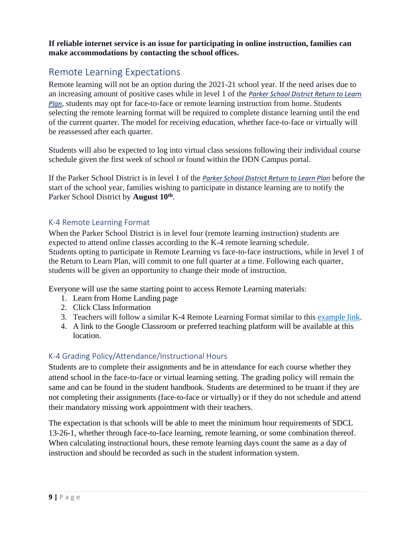**If reliable internet service is an issue for participating in online instruction, families can make accommodations by contacting the school offices.**

## <span id="page-12-0"></span>Remote Learning Expectations

Remote learning will not be an option during the 2021-21 school year. If the need arises due to an increasing amount of positive cases while in level 1 of the *[Parker School District Return to Learn](https://docs.google.com/spreadsheets/d/1tGIIlT2vQtK-_n7GsEbiOYJDbwbNjv5YsCgfCokmZ5Y/edit#gid=773393178)  [Plan](https://docs.google.com/spreadsheets/d/1tGIIlT2vQtK-_n7GsEbiOYJDbwbNjv5YsCgfCokmZ5Y/edit#gid=773393178)*, students may opt for face-to-face or remote learning instruction from home. Students selecting the remote learning format will be required to complete distance learning until the end of the current quarter. The model for receiving education, whether face-to-face or virtually will be reassessed after each quarter.

Students will also be expected to log into virtual class sessions following their individual course schedule given the first week of school or found within the DDN Campus portal.

If the Parker School District is in level 1 of the *[Parker School District Return to Learn Plan](https://docs.google.com/spreadsheets/d/1tGIIlT2vQtK-_n7GsEbiOYJDbwbNjv5YsCgfCokmZ5Y/edit#gid=773393178)* before the start of the school year, families wishing to participate in distance learning are to notify the Parker School District by **August 10th** .

#### <span id="page-12-1"></span>K-4 Remote Learning Format

When the Parker School District is in level four (remote learning instruction) students are expected to attend online classes according to the K-4 remote learning schedule. Students opting to participate in Remote Learning vs face-to-face instructions, while in level 1 of the Return to Learn Plan, will commit to one full quarter at a time. Following each quarter, students will be given an opportunity to change their mode of instruction.

Everyone will use the same starting point to access Remote Learning materials:

- 1. Learn from Home Landing page
- 2. Click Class Information
- 3. Teachers will follow a similar K-4 Remote Learning Format similar to this [example link.](https://docs.google.com/document/d/17mqv-dfBOxiX6QioBleCMWMwdq9a845u3ACrz3_M9kk/edit)
- 4. A link to the Google Classroom or preferred teaching platform will be available at this location.

#### <span id="page-12-2"></span>K-4 Grading Policy/Attendance/Instructional Hours

Students are to complete their assignments and be in attendance for each course whether they attend school in the face-to-face or virtual learning setting. The grading policy will remain the same and can be found in the student handbook. Students are determined to be truant if they are not completing their assignments (face-to-face or virtually) or if they do not schedule and attend their mandatory missing work appointment with their teachers.

The expectation is that schools will be able to meet the minimum hour requirements of SDCL 13-26-1, whether through face-to-face learning, remote learning, or some combination thereof. When calculating instructional hours, these remote learning days count the same as a day of instruction and should be recorded as such in the student information system.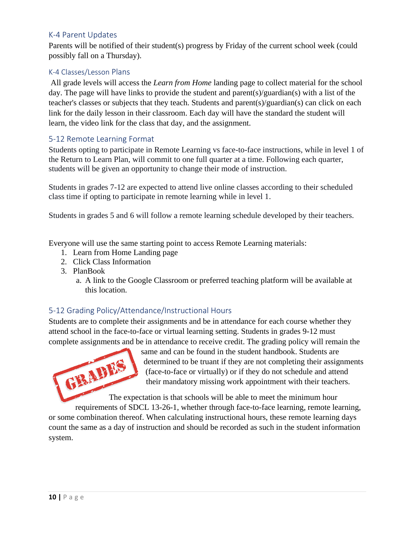#### <span id="page-13-0"></span>K-4 Parent Updates

Parents will be notified of their student(s) progress by Friday of the current school week (could possibly fall on a Thursday).

#### <span id="page-13-1"></span>K-4 Classes/Lesson Plans

All grade levels will access the *Learn from Home* landing page to collect material for the school day. The page will have links to provide the student and parent(s)/guardian(s) with a list of the teacher's classes or subjects that they teach. Students and parent(s)/guardian(s) can click on each link for the daily lesson in their classroom. Each day will have the standard the student will learn, the video link for the class that day, and the assignment.

#### <span id="page-13-2"></span>5-12 Remote Learning Format

Students opting to participate in Remote Learning vs face-to-face instructions, while in level 1 of the Return to Learn Plan, will commit to one full quarter at a time. Following each quarter, students will be given an opportunity to change their mode of instruction.

Students in grades 7-12 are expected to attend live online classes according to their scheduled class time if opting to participate in remote learning while in level 1.

Students in grades 5 and 6 will follow a remote learning schedule developed by their teachers.

Everyone will use the same starting point to access Remote Learning materials:

- 1. Learn from Home Landing page
- 2. Click Class Information
- 3. PlanBook
	- a. A link to the Google Classroom or preferred teaching platform will be available at this location.

#### <span id="page-13-3"></span>5-12 Grading Policy/Attendance/Instructional Hours

Students are to complete their assignments and be in attendance for each course whether they attend school in the face-to-face or virtual learning setting. Students in grades 9-12 must complete assignments and be in attendance to receive credit. The grading policy will remain the



same and can be found in the student handbook. Students are determined to be truant if they are not completing their assignments (face-to-face or virtually) or if they do not schedule and attend their mandatory missing work appointment with their teachers. The expectation is that schools will be able to meet the minimum hour

requirements of SDCL 13-26-1, whether through face-to-face learning, remote learning, or some combination thereof. When calculating instructional hours, these remote learning days count the same as a day of instruction and should be recorded as such in the student information system.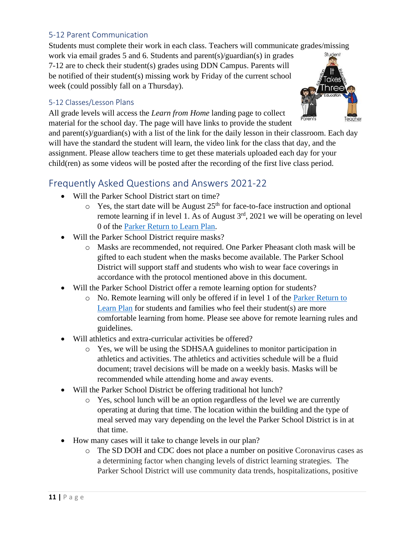#### <span id="page-14-0"></span>5-12 Parent Communication

Students must complete their work in each class. Teachers will communicate grades/missing

work via email grades 5 and 6. Students and parent(s)/guardian(s) in grades 7-12 are to check their student(s) grades using DDN Campus. Parents will be notified of their student(s) missing work by Friday of the current school week (could possibly fall on a Thursday).

#### <span id="page-14-1"></span>5-12 Classes/Lesson Plans

All grade levels will access the *Learn from Home* landing page to collect material for the school day. The page will have links to provide the student



and parent(s)/guardian(s) with a list of the link for the daily lesson in their classroom. Each day will have the standard the student will learn, the video link for the class that day, and the assignment. Please allow teachers time to get these materials uploaded each day for your child(ren) as some videos will be posted after the recording of the first live class period.

## <span id="page-14-2"></span>Frequently Asked Questions and Answers 2021-22

- Will the Parker School District start on time?
	- $\circ$  Yes, the start date will be August 25<sup>th</sup> for face-to-face instruction and optional remote learning if in level 1. As of August 3rd, 2021 we will be operating on level 0 of the [Parker Return to Learn Plan.](https://docs.google.com/spreadsheets/d/1tGIIlT2vQtK-_n7GsEbiOYJDbwbNjv5YsCgfCokmZ5Y/edit?usp=sharing)
- Will the Parker School District require masks?
	- o Masks are recommended, not required. One Parker Pheasant cloth mask will be gifted to each student when the masks become available. The Parker School District will support staff and students who wish to wear face coverings in accordance with the protocol mentioned above in this document.
- Will the Parker School District offer a remote learning option for students?
	- o No. Remote learning will only be offered if in level 1 of the [Parker Return to](https://docs.google.com/spreadsheets/d/1tGIIlT2vQtK-_n7GsEbiOYJDbwbNjv5YsCgfCokmZ5Y/edit?usp=sharing)  [Learn Plan](https://docs.google.com/spreadsheets/d/1tGIIlT2vQtK-_n7GsEbiOYJDbwbNjv5YsCgfCokmZ5Y/edit?usp=sharing) for students and families who feel their student(s) are more comfortable learning from home. Please see above for remote learning rules and guidelines.
- Will athletics and extra-curricular activities be offered?
	- o Yes, we will be using the SDHSAA guidelines to monitor participation in athletics and activities. The athletics and activities schedule will be a fluid document; travel decisions will be made on a weekly basis. Masks will be recommended while attending home and away events.
- Will the Parker School District be offering traditional hot lunch?
	- o Yes, school lunch will be an option regardless of the level we are currently operating at during that time. The location within the building and the type of meal served may vary depending on the level the Parker School District is in at that time.
- How many cases will it take to change levels in our plan?
	- o The SD DOH and CDC does not place a number on positive Coronavirus cases as a determining factor when changing levels of district learning strategies. The Parker School District will use community data trends, hospitalizations, positive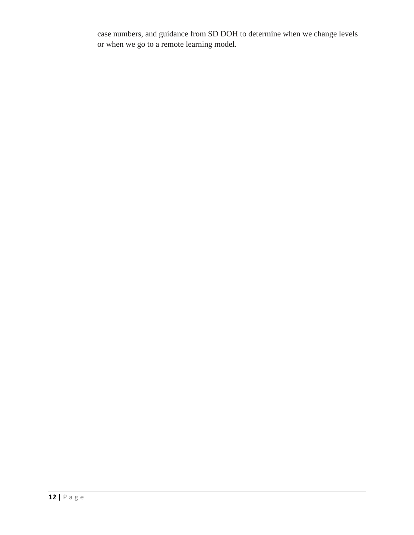case numbers, and guidance from SD DOH to determine when we change levels or when we go to a remote learning model.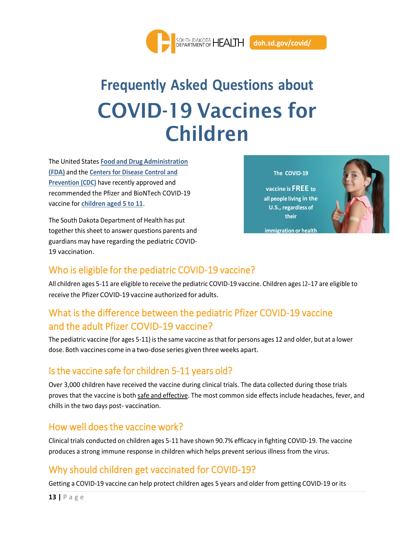

# **Frequently Asked Questions about** COVID-19 Vaccines for Children

The United States **Food and Drug Administration (FDA)** and the **Centers for Disease Control and Prevention (CDC)** have recently approved and recommended the Pfizer and BioNTech COVID-19 vaccine for **children aged 5 to 11**.

The South Dakota Department of Health has put together this sheet to answer questions parents and guardians may have regarding the pediatric COVID-19 vaccination.

#### The COVID-19

**vaccine is FREE**  all people living in the U.S., regardless of their

immigration or health



## Who is eligible for the pediatric COVID-19 vaccine?

All children ages 5-11 are eligible to receive the pediatric COVID-19 vaccine. Children ages 12-17 are eligible to receive the Pfizer COVID-19 vaccine authorized for adults.

## What is the difference between the pediatric Pfizer COVID-19 vaccine and the adult Pfizer COVID-19 vaccine?

The pediatric vaccine (for ages 5-11) isthe same vaccine asthat for persons ages 12 and older, but at a lower dose. Both vaccines come in a two-dose series given three weeks apart.

## Is the vaccine safe for children 5-11 years old?

Over 3,000 children have received the vaccine during clinical trials. The data collected during those trials proves that the vaccine is both safe and effective. The most common side effects include headaches, fever, and chills in the two days post- vaccination.

## How well does the vaccine work?

Clinical trials conducted on children ages 5-11 have shown 90.7% efficacy in fighting COVID-19. The vaccine produces a strong immune response in children which helps prevent serious illness from the virus.

## Why should children get vaccinated for COVID-19?

Getting a COVID-19 vaccine can help protect children ages 5 years and older from getting COVID-19 or its